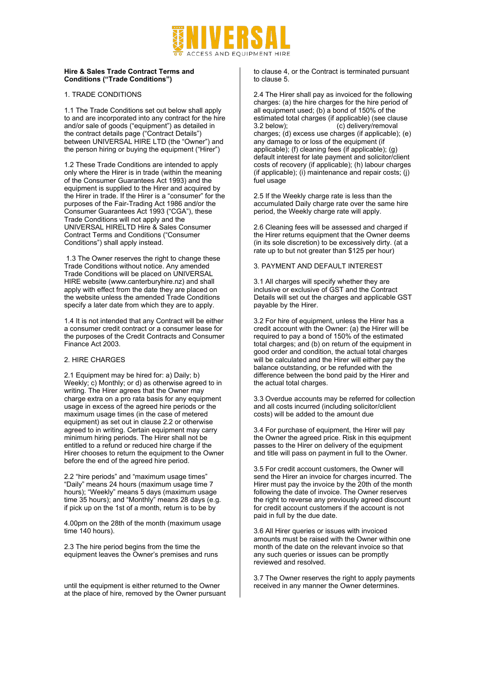

#### **Hire & Sales Trade Contract Terms and Conditions ("Trade Conditions")**

### 1. TRADE CONDITIONS

1.1 The Trade Conditions set out below shall apply to and are incorporated into any contract for the hire and/or sale of goods ("equipment") as detailed in the contract details page ("Contract Details") between UNIVERSAL HIRE LTD (the "Owner") and the person hiring or buying the equipment ("Hirer")

1.2 These Trade Conditions are intended to apply only where the Hirer is in trade (within the meaning of the Consumer Guarantees Act 1993) and the equipment is supplied to the Hirer and acquired by the Hirer in trade. If the Hirer is a "consumer" for the purposes of the Fair-Trading Act 1986 and/or the Consumer Guarantees Act 1993 ("CGA"), these Trade Conditions will not apply and the UNIVERSAL HIRELTD Hire & Sales Consumer Contract Terms and Conditions ("Consumer Conditions") shall apply instead.

1.3 The Owner reserves the right to change these Trade Conditions without notice. Any amended Trade Conditions will be placed on UNIVERSAL HIRE website (www.canterburyhire.nz) and shall apply with effect from the date they are placed on the website unless the amended Trade Conditions specify a later date from which they are to apply.

1.4 It is not intended that any Contract will be either a consumer credit contract or a consumer lease for the purposes of the Credit Contracts and Consumer Finance Act 2003.

# 2. HIRE CHARGES

2.1 Equipment may be hired for: a) Daily; b) Weekly; c) Monthly; or d) as otherwise agreed to in writing. The Hirer agrees that the Owner may charge extra on a pro rata basis for any equipment usage in excess of the agreed hire periods or the maximum usage times (in the case of metered equipment) as set out in clause 2.2 or otherwise agreed to in writing. Certain equipment may carry minimum hiring periods. The Hirer shall not be entitled to a refund or reduced hire charge if the Hirer chooses to return the equipment to the Owner before the end of the agreed hire period.

2.2 "hire periods" and "maximum usage times" "Daily" means 24 hours (maximum usage time 7 hours): "Weekly" means 5 days (maximum usage time  $35$  hours); and "Monthly" means 28 days (e.g. if pick up on the 1st of a month, return is to be by

4.00pm on the 28th of the month (maximum usage time 140 hours).

2.3 The hire period begins from the time the equipment leaves the Owner's premises and runs

until the equipment is either returned to the Owner at the place of hire, removed by the Owner pursuant to clause 4, or the Contract is terminated pursuant to clause 5.

2.4 The Hirer shall pay as invoiced for the following charges: (a) the hire charges for the hire period of all equipment used; (b) a bond of 150% of the estimated total charges (if applicable) (see clause 3.2 below); (c) delivery/removal charges; (d) excess use charges (if applicable); (e) any damage to or loss of the equipment (if applicable); (f) cleaning fees (if applicable); (g) default interest for late payment and solicitor/client costs of recovery (if applicable); (h) labour charges (if applicable); (i) maintenance and repair costs; (j) fuel usage

2.5 If the Weekly charge rate is less than the accumulated Daily charge rate over the same hire period, the Weekly charge rate will apply.

2.6 Cleaning fees will be assessed and charged if the Hirer returns equipment that the Owner deems (in its sole discretion) to be excessively dirty. (at a rate up to but not greater than \$125 per hour)

# 3. PAYMENT AND DEFAULT INTEREST

3.1 All charges will specify whether they are inclusive or exclusive of GST and the Contract Details will set out the charges and applicable GST payable by the Hirer.

3.2 For hire of equipment, unless the Hirer has a credit account with the Owner: (a) the Hirer will be required to pay a bond of 150% of the estimated total charges; and (b) on return of the equipment in good order and condition, the actual total charges will be calculated and the Hirer will either pay the balance outstanding, or be refunded with the difference between the bond paid by the Hirer and the actual total charges.

3.3 Overdue accounts may be referred for collection and all costs incurred (including solicitor/client costs) will be added to the amount due

3.4 For purchase of equipment, the Hirer will pay the Owner the agreed price. Risk in this equipment passes to the Hirer on delivery of the equipment and title will pass on payment in full to the Owner.

3.5 For credit account customers, the Owner will send the Hirer an invoice for charges incurred. The Hirer must pay the invoice by the 20th of the month following the date of invoice. The Owner reserves the right to reverse any previously agreed discount for credit account customers if the account is not paid in full by the due date.

3.6 All Hirer queries or issues with invoiced amounts must be raised with the Owner within one month of the date on the relevant invoice so that any such queries or issues can be promptly reviewed and resolved.

3.7 The Owner reserves the right to apply payments received in any manner the Owner determines.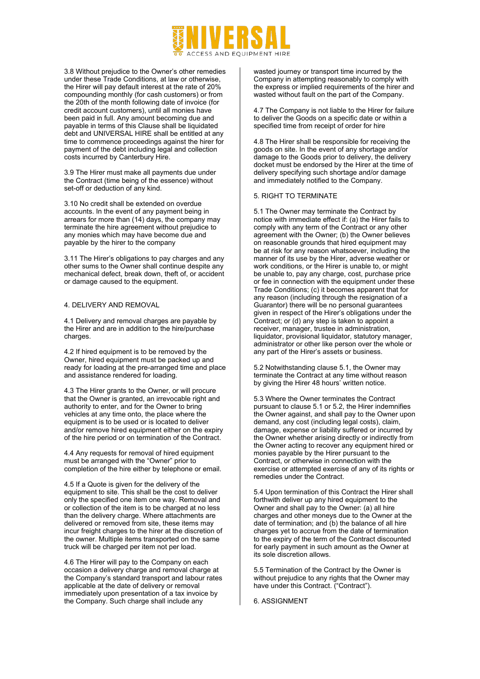

3.8 Without prejudice to the Owner's other remedies under these Trade Conditions, at law or otherwise, the Hirer will pay default interest at the rate of 20% compounding monthly (for cash customers) or from the 20th of the month following date of invoice (for credit account customers), until all monies have been paid in full. Any amount becoming due and payable in terms of this Clause shall be liquidated debt and UNIVERSAL HIRE shall be entitled at any time to commence proceedings against the hirer for payment of the debt including legal and collection costs incurred by Canterbury Hire.

3.9 The Hirer must make all payments due under the Contract (time being of the essence) without set-off or deduction of any kind.

3.10 No credit shall be extended on overdue accounts. In the event of any payment being in arrears for more than (14) days, the company may terminate the hire agreement without prejudice to any monies which may have become due and payable by the hirer to the company

3.11 The Hirer's obligations to pay charges and any other sums to the Owner shall continue despite any mechanical defect, break down, theft of, or accident or damage caused to the equipment.

### 4. DELIVERY AND REMOVAL

4.1 Delivery and removal charges are payable by the Hirer and are in addition to the hire/purchase charges.

4.2 If hired equipment is to be removed by the Owner, hired equipment must be packed up and ready for loading at the pre-arranged time and place and assistance rendered for loading.

4.3 The Hirer grants to the Owner, or will procure that the Owner is granted, an irrevocable right and authority to enter, and for the Owner to bring vehicles at any time onto, the place where the equipment is to be used or is located to deliver and/or remove hired equipment either on the expiry of the hire period or on termination of the Contract.

4.4 Any requests for removal of hired equipment must be arranged with the "Owner" prior to completion of the hire either by telephone or email.

4.5 If a Quote is given for the delivery of the equipment to site. This shall be the cost to deliver only the specified one item one way. Removal and or collection of the item is to be charged at no less than the delivery charge. Where attachments are delivered or removed from site, these items may incur freight charges to the hirer at the discretion of the owner. Multiple items transported on the same truck will be charged per item not per load.

4.6 The Hirer will pay to the Company on each occasion a delivery charge and removal charge at the Company's standard transport and labour rates applicable at the date of delivery or removal immediately upon presentation of a tax invoice by the Company. Such charge shall include any

wasted journey or transport time incurred by the Company in attempting reasonably to comply with the express or implied requirements of the hirer and wasted without fault on the part of the Company.

4.7 The Company is not liable to the Hirer for failure to deliver the Goods on a specific date or within a specified time from receipt of order for hire

4.8 The Hirer shall be responsible for receiving the goods on site. In the event of any shortage and/or damage to the Goods prior to delivery, the delivery docket must be endorsed by the Hirer at the time of delivery specifying such shortage and/or damage and immediately notified to the Company.

### 5. RIGHT TO TERMINATE

5.1 The Owner may terminate the Contract by notice with immediate effect if: (a) the Hirer fails to comply with any term of the Contract or any other agreement with the Owner; (b) the Owner believes on reasonable grounds that hired equipment may be at risk for any reason whatsoever, including the manner of its use by the Hirer, adverse weather or work conditions, or the Hirer is unable to, or might be unable to, pay any charge, cost, purchase price or fee in connection with the equipment under these Trade Conditions; (c) it becomes apparent that for any reason (including through the resignation of a Guarantor) there will be no personal guarantees given in respect of the Hirer's obligations under the Contract; or (d) any step is taken to appoint a receiver, manager, trustee in administration, liquidator, provisional liquidator, statutory manager, administrator or other like person over the whole or any part of the Hirer's assets or business.

5.2 Notwithstanding clause 5.1, the Owner may terminate the Contract at any time without reason by giving the Hirer 48 hours' written notice.

5.3 Where the Owner terminates the Contract pursuant to clause 5.1 or 5.2, the Hirer indemnifies the Owner against, and shall pay to the Owner upon demand, any cost (including legal costs), claim, damage, expense or liability suffered or incurred by the Owner whether arising directly or indirectly from the Owner acting to recover any equipment hired or monies payable by the Hirer pursuant to the Contract, or otherwise in connection with the exercise or attempted exercise of any of its rights or remedies under the Contract.

5.4 Upon termination of this Contract the Hirer shall forthwith deliver up any hired equipment to the Owner and shall pay to the Owner: (a) all hire charges and other moneys due to the Owner at the date of termination; and (b) the balance of all hire charges yet to accrue from the date of termination to the expiry of the term of the Contract discounted for early payment in such amount as the Owner at its sole discretion allows.

5.5 Termination of the Contract by the Owner is without prejudice to any rights that the Owner may have under this Contract. ("Contract").

6. ASSIGNMENT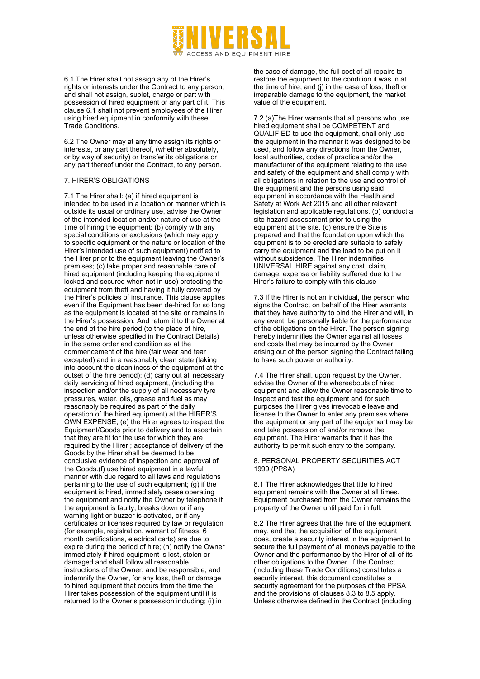

6.1 The Hirer shall not assign any of the Hirer's rights or interests under the Contract to any person, and shall not assign, sublet, charge or part with possession of hired equipment or any part of it. This clause 6.1 shall not prevent employees of the Hirer using hired equipment in conformity with these Trade Conditions.

6.2 The Owner may at any time assign its rights or interests, or any part thereof, (whether absolutely, or by way of security) or transfer its obligations or any part thereof under the Contract, to any person.

### 7. HIRER'S OBLIGATIONS

7.1 The Hirer shall: (a) if hired equipment is intended to be used in a location or manner which is outside its usual or ordinary use, advise the Owner of the intended location and/or nature of use at the time of hiring the equipment; (b) comply with any special conditions or exclusions (which may apply to specific equipment or the nature or location of the Hirer's intended use of such equipment) notified to the Hirer prior to the equipment leaving the Owner's premises; (c) take proper and reasonable care of hired equipment (including keeping the equipment locked and secured when not in use) protecting the equipment from theft and having it fully covered by the Hirer's policies of insurance. This clause applies even if the Equipment has been de-hired for so long as the equipment is located at the site or remains in the Hirer's possession. And return it to the Owner at the end of the hire period (to the place of hire, unless otherwise specified in the Contract Details) in the same order and condition as at the commencement of the hire (fair wear and tear excepted) and in a reasonably clean state (taking into account the cleanliness of the equipment at the outset of the hire period); (d) carry out all necessary daily servicing of hired equipment, (including the inspection and/or the supply of all necessary tyre pressures, water, oils, grease and fuel as may reasonably be required as part of the daily operation of the hired equipment) at the HIRER'S OWN EXPENSE; (e) the Hirer agrees to inspect the Equipment/Goods prior to delivery and to ascertain that they are fit for the use for which they are required by the Hirer ; acceptance of delivery of the Goods by the Hirer shall be deemed to be conclusive evidence of inspection and approval of the Goods.(f) use hired equipment in a lawful manner with due regard to all laws and regulations pertaining to the use of such equipment:  $(q)$  if the equipment is hired, immediately cease operating the equipment and notify the Owner by telephone if the equipment is faulty, breaks down or if any warning light or buzzer is activated, or if any certificates or licenses required by law or regulation (for example, registration, warrant of fitness, 6 month certifications, electrical certs) are due to expire during the period of hire; (h) notify the Owner immediately if hired equipment is lost, stolen or damaged and shall follow all reasonable instructions of the Owner; and be responsible, and indemnify the Owner, for any loss, theft or damage to hired equipment that occurs from the time the Hirer takes possession of the equipment until it is returned to the Owner's possession including; (i) in

the case of damage, the full cost of all repairs to restore the equipment to the condition it was in at the time of hire; and (j) in the case of loss, theft or irreparable damage to the equipment, the market value of the equipment.

7.2 (a)The Hirer warrants that all persons who use hired equipment shall be COMPETENT and QUALIFIED to use the equipment, shall only use the equipment in the manner it was designed to be used, and follow any directions from the Owner, local authorities, codes of practice and/or the manufacturer of the equipment relating to the use and safety of the equipment and shall comply with all obligations in relation to the use and control of the equipment and the persons using said equipment in accordance with the Health and Safety at Work Act 2015 and all other relevant legislation and applicable regulations. (b) conduct a site hazard assessment prior to using the equipment at the site. (c) ensure the Site is prepared and that the foundation upon which the equipment is to be erected are suitable to safely carry the equipment and the load to be put on it without subsidence. The Hirer indemnifies UNIVERSAL HIRE against any cost, claim, damage, expense or liability suffered due to the Hirer's failure to comply with this clause

7.3 If the Hirer is not an individual, the person who signs the Contract on behalf of the Hirer warrants that they have authority to bind the Hirer and will, in any event, be personally liable for the performance of the obligations on the Hirer. The person signing hereby indemnifies the Owner against all losses and costs that may be incurred by the Owner arising out of the person signing the Contract failing to have such power or authority.

7.4 The Hirer shall, upon request by the Owner, advise the Owner of the whereabouts of hired equipment and allow the Owner reasonable time to inspect and test the equipment and for such purposes the Hirer gives irrevocable leave and license to the Owner to enter any premises where the equipment or any part of the equipment may be and take possession of and/or remove the equipment. The Hirer warrants that it has the authority to permit such entry to the company.

# 8. PERSONAL PROPERTY SECURITIES ACT 1999 (PPSA)

8.1 The Hirer acknowledges that title to hired equipment remains with the Owner at all times. Equipment purchased from the Owner remains the property of the Owner until paid for in full.

8.2 The Hirer agrees that the hire of the equipment may, and that the acquisition of the equipment does, create a security interest in the equipment to secure the full payment of all moneys payable to the Owner and the performance by the Hirer of all of its other obligations to the Owner. If the Contract (including these Trade Conditions) constitutes a security interest, this document constitutes a security agreement for the purposes of the PPSA and the provisions of clauses 8.3 to 8.5 apply. Unless otherwise defined in the Contract (including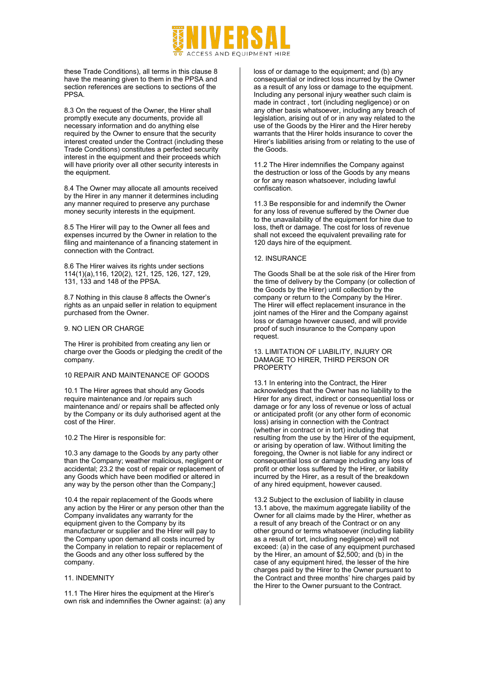# ACCESS AND FOUIPMENT HIRE

these Trade Conditions), all terms in this clause 8 have the meaning given to them in the PPSA and section references are sections to sections of the PPSA.

8.3 On the request of the Owner, the Hirer shall promptly execute any documents, provide all necessary information and do anything else required by the Owner to ensure that the security interest created under the Contract (including these Trade Conditions) constitutes a perfected security interest in the equipment and their proceeds which will have priority over all other security interests in the equipment.

8.4 The Owner may allocate all amounts received by the Hirer in any manner it determines including any manner required to preserve any purchase money security interests in the equipment.

8.5 The Hirer will pay to the Owner all fees and expenses incurred by the Owner in relation to the filing and maintenance of a financing statement in connection with the Contract.

8.6 The Hirer waives its rights under sections 114(1)(a),116, 120(2), 121, 125, 126, 127, 129, 131, 133 and 148 of the PPSA.

8.7 Nothing in this clause 8 affects the Owner's rights as an unpaid seller in relation to equipment purchased from the Owner.

### 9. NO LIEN OR CHARGE

The Hirer is prohibited from creating any lien or charge over the Goods or pledging the credit of the company.

### 10 REPAIR AND MAINTENANCE OF GOODS

10.1 The Hirer agrees that should any Goods require maintenance and /or repairs such maintenance and/ or repairs shall be affected only by the Company or its duly authorised agent at the cost of the Hirer.

10.2 The Hirer is responsible for:

10.3 any damage to the Goods by any party other than the Company; weather malicious, negligent or accidental; 23.2 the cost of repair or replacement of any Goods which have been modified or altered in any way by the person other than the Company;]

10.4 the repair replacement of the Goods where any action by the Hirer or any person other than the Company invalidates any warranty for the equipment given to the Company by its manufacturer or supplier and the Hirer will pay to the Company upon demand all costs incurred by the Company in relation to repair or replacement of the Goods and any other loss suffered by the company.

# 11. INDEMNITY

11.1 The Hirer hires the equipment at the Hirer's own risk and indemnifies the Owner against: (a) any loss of or damage to the equipment; and (b) any consequential or indirect loss incurred by the Owner as a result of any loss or damage to the equipment. Including any personal injury weather such claim is made in contract , tort (including negligence) or on any other basis whatsoever, including any breach of legislation, arising out of or in any way related to the use of the Goods by the Hirer and the Hirer hereby warrants that the Hirer holds insurance to cover the Hirer's liabilities arising from or relating to the use of the Goods.

11.2 The Hirer indemnifies the Company against the destruction or loss of the Goods by any means or for any reason whatsoever, including lawful confiscation.

11.3 Be responsible for and indemnify the Owner for any loss of revenue suffered by the Owner due to the unavailability of the equipment for hire due to loss, theft or damage. The cost for loss of revenue shall not exceed the equivalent prevailing rate for 120 days hire of the equipment.

### 12. INSURANCE

The Goods Shall be at the sole risk of the Hirer from the time of delivery by the Company (or collection of the Goods by the Hirer) until collection by the company or return to the Company by the Hirer. The Hirer will effect replacement insurance in the joint names of the Hirer and the Company against loss or damage however caused, and will provide proof of such insurance to the Company upon request.

### 13. LIMITATION OF LIABILITY, INJURY OR DAMAGE TO HIRER, THIRD PERSON OR PROPERTY

13.1 In entering into the Contract, the Hirer acknowledges that the Owner has no liability to the Hirer for any direct, indirect or consequential loss or damage or for any loss of revenue or loss of actual or anticipated profit (or any other form of economic loss) arising in connection with the Contract (whether in contract or in tort) including that resulting from the use by the Hirer of the equipment, or arising by operation of law. Without limiting the foregoing, the Owner is not liable for any indirect or consequential loss or damage including any loss of profit or other loss suffered by the Hirer, or liability incurred by the Hirer, as a result of the breakdown of any hired equipment, however caused.

13.2 Subject to the exclusion of liability in clause 13.1 above, the maximum aggregate liability of the Owner for all claims made by the Hirer, whether as a result of any breach of the Contract or on any other ground or terms whatsoever (including liability as a result of tort, including negligence) will not exceed: (a) in the case of any equipment purchased by the Hirer, an amount of \$2,500; and (b) in the case of any equipment hired, the lesser of the hire charges paid by the Hirer to the Owner pursuant to the Contract and three months' hire charges paid by the Hirer to the Owner pursuant to the Contract.